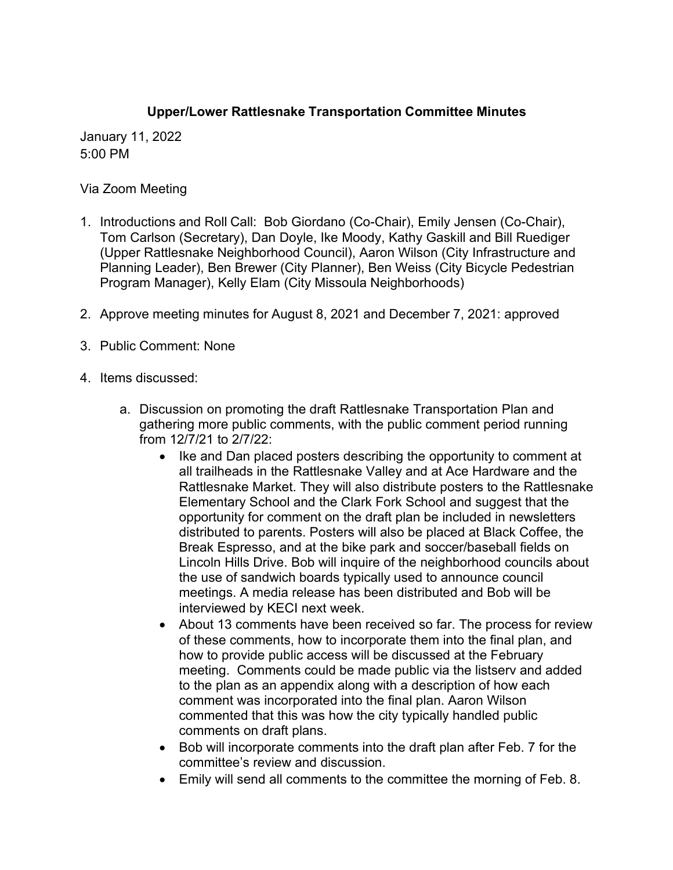## **Upper/Lower Rattlesnake Transportation Committee Minutes**

January 11, 2022 5:00 PM

Via Zoom Meeting

- 1. Introductions and Roll Call: Bob Giordano (Co-Chair), Emily Jensen (Co-Chair), Tom Carlson (Secretary), Dan Doyle, Ike Moody, Kathy Gaskill and Bill Ruediger (Upper Rattlesnake Neighborhood Council), Aaron Wilson (City Infrastructure and Planning Leader), Ben Brewer (City Planner), Ben Weiss (City Bicycle Pedestrian Program Manager), Kelly Elam (City Missoula Neighborhoods)
- 2. Approve meeting minutes for August 8, 2021 and December 7, 2021: approved
- 3. Public Comment: None
- 4. Items discussed:
	- a. Discussion on promoting the draft Rattlesnake Transportation Plan and gathering more public comments, with the public comment period running from 12/7/21 to 2/7/22:
		- Ike and Dan placed posters describing the opportunity to comment at all trailheads in the Rattlesnake Valley and at Ace Hardware and the Rattlesnake Market. They will also distribute posters to the Rattlesnake Elementary School and the Clark Fork School and suggest that the opportunity for comment on the draft plan be included in newsletters distributed to parents. Posters will also be placed at Black Coffee, the Break Espresso, and at the bike park and soccer/baseball fields on Lincoln Hills Drive. Bob will inquire of the neighborhood councils about the use of sandwich boards typically used to announce council meetings. A media release has been distributed and Bob will be interviewed by KECI next week.
		- About 13 comments have been received so far. The process for review of these comments, how to incorporate them into the final plan, and how to provide public access will be discussed at the February meeting. Comments could be made public via the listserv and added to the plan as an appendix along with a description of how each comment was incorporated into the final plan. Aaron Wilson commented that this was how the city typically handled public comments on draft plans.
		- Bob will incorporate comments into the draft plan after Feb. 7 for the committee's review and discussion.
		- Emily will send all comments to the committee the morning of Feb. 8.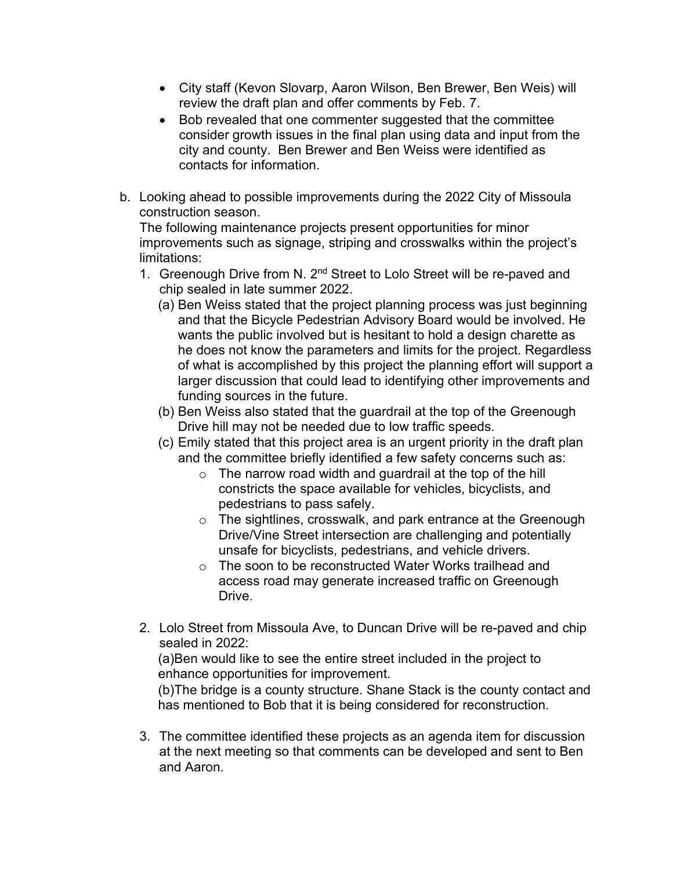- City staff (Kevon Slovarp, Aaron Wilson, Ben Brewer, Ben Weis) will review the draft plan and offer comments by Feb. 7.
- Bob revealed that one commenter suggested that the committee consider growth issues in the final plan using data and input from the city and county. Ben Brewer and Ben Weiss were identified as contacts for information.
- b. Looking ahead to possible improvements during the 2022 City of Missoula construction season.

The following maintenance projects present opportunities for minor improvements such as signage, striping and crosswalks within the project's limitations:

- 1. Greenough Drive from N. 2<sup>nd</sup> Street to Lolo Street will be re-paved and chip sealed in late summer 2022.
	- (a) Ben Weiss stated that the project planning process was just beginning and that the Bicycle Pedestrian Advisory Board would be involved. He wants the public involved but is hesitant to hold a design charette as he does not know the parameters and limits for the project. Regardless of what is accomplished by this project the planning effort will support a larger discussion that could lead to identifying other improvements and funding sources in the future.
	- (b) Ben Weiss also stated that the guardrail at the top of the Greenough Drive hill may not be needed due to low traffic speeds.
	- (c) Emily stated that this project area is an urgent priority in the draft plan and the committee briefly identified a few safety concerns such as:
		- $\circ$  The narrow road width and quardrail at the top of the hill constricts the space available for vehicles, bicyclists, and pedestrians to pass safely.
		- o The sightlines, crosswalk, and park entrance at the Greenough Drive/Vine Street intersection are challenging and potentially unsafe for bicyclists, pedestrians, and vehicle drivers.
		- o The soon to be reconstructed Water Works trailhead and access road may generate increased traffic on Greenough Drive.
- 2. Lolo Street from Missoula Ave, to Duncan Drive will be re-paved and chip sealed in 2022:

(a)Ben would like to see the entire street included in the project to enhance opportunities for improvement.

(b)The bridge is a county structure. Shane Stack is the county contact and has mentioned to Bob that it is being considered for reconstruction.

3. The committee identified these projects as an agenda item for discussion at the next meeting so that comments can be developed and sent to Ben and Aaron.